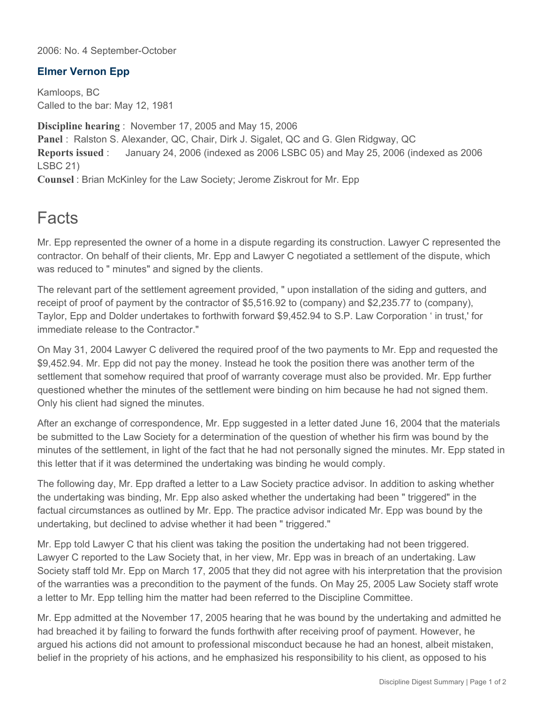2006: No. 4 September-October

## **Elmer Vernon Epp**

Kamloops, BC Called to the bar: May 12, 1981

**Discipline hearing** : November 17, 2005 and May 15, 2006 **Panel** : Ralston S. Alexander, QC, Chair, Dirk J. Sigalet, QC and G. Glen Ridgway, QC **Reports issued** : January 24, 2006 (indexed as 2006 LSBC 05) and May 25, 2006 (indexed as 2006 LSBC 21) **Counsel** : Brian McKinley for the Law Society; Jerome Ziskrout for Mr. Epp

## **Facts**

Mr. Epp represented the owner of a home in a dispute regarding its construction. Lawyer C represented the contractor. On behalf of their clients, Mr. Epp and Lawyer C negotiated a settlement of the dispute, which was reduced to " minutes" and signed by the clients.

The relevant part of the settlement agreement provided, " upon installation of the siding and gutters, and receipt of proof of payment by the contractor of \$5,516.92 to (company) and \$2,235.77 to (company), Taylor, Epp and Dolder undertakes to forthwith forward \$9,452.94 to S.P. Law Corporation ' in trust,' for immediate release to the Contractor."

On May 31, 2004 Lawyer C delivered the required proof of the two payments to Mr. Epp and requested the \$9,452.94. Mr. Epp did not pay the money. Instead he took the position there was another term of the settlement that somehow required that proof of warranty coverage must also be provided. Mr. Epp further questioned whether the minutes of the settlement were binding on him because he had not signed them. Only his client had signed the minutes.

After an exchange of correspondence, Mr. Epp suggested in a letter dated June 16, 2004 that the materials be submitted to the Law Society for a determination of the question of whether his firm was bound by the minutes of the settlement, in light of the fact that he had not personally signed the minutes. Mr. Epp stated in this letter that if it was determined the undertaking was binding he would comply.

The following day, Mr. Epp drafted a letter to a Law Society practice advisor. In addition to asking whether the undertaking was binding, Mr. Epp also asked whether the undertaking had been " triggered" in the factual circumstances as outlined by Mr. Epp. The practice advisor indicated Mr. Epp was bound by the undertaking, but declined to advise whether it had been " triggered."

Mr. Epp told Lawyer C that his client was taking the position the undertaking had not been triggered. Lawyer C reported to the Law Society that, in her view, Mr. Epp was in breach of an undertaking. Law Society staff told Mr. Epp on March 17, 2005 that they did not agree with his interpretation that the provision of the warranties was a precondition to the payment of the funds. On May 25, 2005 Law Society staff wrote a letter to Mr. Epp telling him the matter had been referred to the Discipline Committee.

Mr. Epp admitted at the November 17, 2005 hearing that he was bound by the undertaking and admitted he had breached it by failing to forward the funds forthwith after receiving proof of payment. However, he argued his actions did not amount to professional misconduct because he had an honest, albeit mistaken, belief in the propriety of his actions, and he emphasized his responsibility to his client, as opposed to his